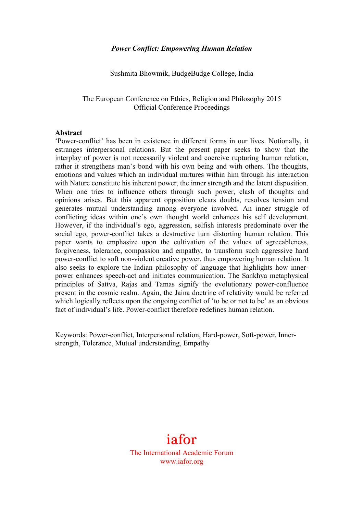#### *Power Conflict: Empowering Human Relation*

Sushmita Bhowmik, BudgeBudge College, India

## The European Conference on Ethics, Religion and Philosophy 2015 Official Conference Proceedings

#### **Abstract**

'Power-conflict' has been in existence in different forms in our lives. Notionally, it estranges interpersonal relations. But the present paper seeks to show that the interplay of power is not necessarily violent and coercive rupturing human relation, rather it strengthens man's bond with his own being and with others. The thoughts, emotions and values which an individual nurtures within him through his interaction with Nature constitute his inherent power, the inner strength and the latent disposition. When one tries to influence others through such power, clash of thoughts and opinions arises. But this apparent opposition clears doubts, resolves tension and generates mutual understanding among everyone involved. An inner struggle of conflicting ideas within one's own thought world enhances his self development. However, if the individual's ego, aggression, selfish interests predominate over the social ego, power-conflict takes a destructive turn distorting human relation. This paper wants to emphasize upon the cultivation of the values of agreeableness, forgiveness, tolerance, compassion and empathy, to transform such aggressive hard power-conflict to soft non-violent creative power, thus empowering human relation. It also seeks to explore the Indian philosophy of language that highlights how innerpower enhances speech-act and initiates communication. The Sankhya metaphysical principles of Sattva, Rajas and Tamas signify the evolutionary power-confluence present in the cosmic realm. Again, the Jaina doctrine of relativity would be referred which logically reflects upon the ongoing conflict of 'to be or not to be' as an obvious fact of individual's life. Power-conflict therefore redefines human relation.

Keywords: Power-conflict, Interpersonal relation, Hard-power, Soft-power, Innerstrength, Tolerance, Mutual understanding, Empathy

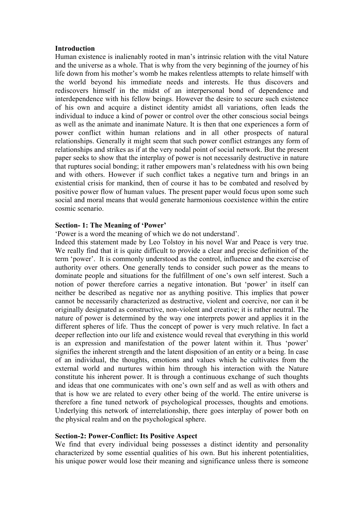#### **Introduction**

Human existence is inalienably rooted in man's intrinsic relation with the vital Nature and the universe as a whole. That is why from the very beginning of the journey of his life down from his mother's womb he makes relentless attempts to relate himself with the world beyond his immediate needs and interests. He thus discovers and rediscovers himself in the midst of an interpersonal bond of dependence and interdependence with his fellow beings. However the desire to secure such existence of his own and acquire a distinct identity amidst all variations, often leads the individual to induce a kind of power or control over the other conscious social beings as well as the animate and inanimate Nature. It is then that one experiences a form of power conflict within human relations and in all other prospects of natural relationships. Generally it might seem that such power conflict estranges any form of relationships and strikes as if at the very nodal point of social network. But the present paper seeks to show that the interplay of power is not necessarily destructive in nature that ruptures social bonding; it rather empowers man's relatedness with his own being and with others. However if such conflict takes a negative turn and brings in an existential crisis for mankind, then of course it has to be combated and resolved by positive power flow of human values. The present paper would focus upon some such social and moral means that would generate harmonious coexistence within the entire cosmic scenario.

### **Section- 1: The Meaning of 'Power'**

'Power is a word the meaning of which we do not understand'.

Indeed this statement made by Leo Tolstoy in his novel War and Peace is very true. We really find that it is quite difficult to provide a clear and precise definition of the term 'power'. It is commonly understood as the control, influence and the exercise of authority over others. One generally tends to consider such power as the means to dominate people and situations for the fulfillment of one's own self interest. Such a notion of power therefore carries a negative intonation. But 'power' in itself can neither be described as negative nor as anything positive. This implies that power cannot be necessarily characterized as destructive, violent and coercive, nor can it be originally designated as constructive, non-violent and creative; it is rather neutral. The nature of power is determined by the way one interprets power and applies it in the different spheres of life. Thus the concept of power is very much relative. In fact a deeper reflection into our life and existence would reveal that everything in this world is an expression and manifestation of the power latent within it. Thus 'power' signifies the inherent strength and the latent disposition of an entity or a being. In case of an individual, the thoughts, emotions and values which he cultivates from the external world and nurtures within him through his interaction with the Nature constitute his inherent power. It is through a continuous exchange of such thoughts and ideas that one communicates with one's own self and as well as with others and that is how we are related to every other being of the world. The entire universe is therefore a fine tuned network of psychological processes, thoughts and emotions. Underlying this network of interrelationship, there goes interplay of power both on the physical realm and on the psychological sphere.

### **Section-2: Power-Conflict: Its Positive Aspect**

We find that every individual being possesses a distinct identity and personality characterized by some essential qualities of his own. But his inherent potentialities, his unique power would lose their meaning and significance unless there is someone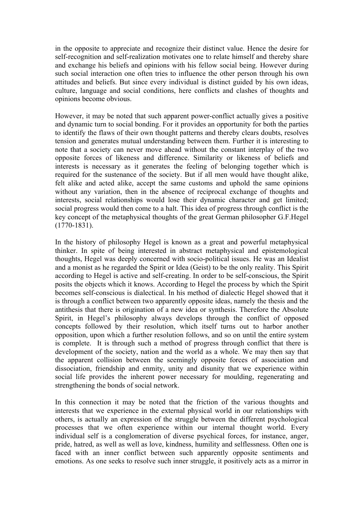in the opposite to appreciate and recognize their distinct value. Hence the desire for self-recognition and self-realization motivates one to relate himself and thereby share and exchange his beliefs and opinions with his fellow social being. However during such social interaction one often tries to influence the other person through his own attitudes and beliefs. But since every individual is distinct guided by his own ideas, culture, language and social conditions, here conflicts and clashes of thoughts and opinions become obvious.

However, it may be noted that such apparent power-conflict actually gives a positive and dynamic turn to social bonding. For it provides an opportunity for both the parties to identify the flaws of their own thought patterns and thereby clears doubts, resolves tension and generates mutual understanding between them. Further it is interesting to note that a society can never move ahead without the constant interplay of the two opposite forces of likeness and difference. Similarity or likeness of beliefs and interests is necessary as it generates the feeling of belonging together which is required for the sustenance of the society. But if all men would have thought alike, felt alike and acted alike, accept the same customs and uphold the same opinions without any variation, then in the absence of reciprocal exchange of thoughts and interests, social relationships would lose their dynamic character and get limited; social progress would then come to a halt. This idea of progress through conflict is the key concept of the metaphysical thoughts of the great German philosopher G.F.Hegel (1770-1831).

In the history of philosophy Hegel is known as a great and powerful metaphysical thinker. In spite of being interested in abstract metaphysical and epistemological thoughts, Hegel was deeply concerned with socio-political issues. He was an Idealist and a monist as he regarded the Spirit or Idea (Geist) to be the only reality. This Spirit according to Hegel is active and self-creating. In order to be self-conscious, the Spirit posits the objects which it knows. According to Hegel the process by which the Spirit becomes self-conscious is dialectical. In his method of dialectic Hegel showed that it is through a conflict between two apparently opposite ideas, namely the thesis and the antithesis that there is origination of a new idea or synthesis. Therefore the Absolute Spirit, in Hegel's philosophy always develops through the conflict of opposed concepts followed by their resolution, which itself turns out to harbor another opposition, upon which a further resolution follows, and so on until the entire system is complete. It is through such a method of progress through conflict that there is development of the society, nation and the world as a whole. We may then say that the apparent collision between the seemingly opposite forces of association and dissociation, friendship and enmity, unity and disunity that we experience within social life provides the inherent power necessary for moulding, regenerating and strengthening the bonds of social network.

In this connection it may be noted that the friction of the various thoughts and interests that we experience in the external physical world in our relationships with others, is actually an expression of the struggle between the different psychological processes that we often experience within our internal thought world. Every individual self is a conglomeration of diverse psychical forces, for instance, anger, pride, hatred, as well as well as love, kindness, humility and selflessness. Often one is faced with an inner conflict between such apparently opposite sentiments and emotions. As one seeks to resolve such inner struggle, it positively acts as a mirror in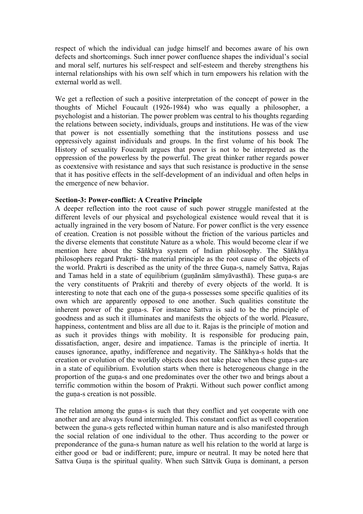respect of which the individual can judge himself and becomes aware of his own defects and shortcomings. Such inner power confluence shapes the individual's social and moral self, nurtures his self-respect and self-esteem and thereby strengthens his internal relationships with his own self which in turn empowers his relation with the external world as well.

We get a reflection of such a positive interpretation of the concept of power in the thoughts of Michel Foucault (1926-1984) who was equally a philosopher, a psychologist and a historian. The power problem was central to his thoughts regarding the relations between society, individuals, groups and institutions. He was of the view that power is not essentially something that the institutions possess and use oppressively against individuals and groups. In the first volume of his book The History of sexuality Foucault argues that power is not to be interpreted as the oppression of the powerless by the powerful. The great thinker rather regards power as coextensive with resistance and says that such resistance is productive in the sense that it has positive effects in the self-development of an individual and often helps in the emergence of new behavior.

### **Section-3: Power-conflict: A Creative Principle**

A deeper reflection into the root cause of such power struggle manifested at the different levels of our physical and psychological existence would reveal that it is actually ingrained in the very bosom of Nature. For power conflict is the very essence of creation. Creation is not possible without the friction of the various particles and the diverse elements that constitute Nature as a whole. This would become clear if we mention here about the Sāñkhya system of Indian philosophy. The Sāñkhya philosophers regard Prakṛti- the material principle as the root cause of the objects of the world. Prakrti is described as the unity of the three Guṇa-s, namely Sattva, Rajas and Tamas held in a state of equilibrium (guṇānām sāmyāvasthā). These guṇa-s are the very constituents of Prakṛiti and thereby of every objects of the world. It is interesting to note that each one of the guna-s possesses some specific qualities of its own which are apparently opposed to one another. Such qualities constitute the inherent power of the guna-s. For instance Sattva is said to be the principle of goodness and as such it illuminates and manifests the objects of the world. Pleasure, happiness, contentment and bliss are all due to it. Rajas is the principle of motion and as such it provides things with mobility. It is responsible for producing pain, dissatisfaction, anger, desire and impatience. Tamas is the principle of inertia. It causes ignorance, apathy, indifference and negativity. The Sāñkhya-s holds that the creation or evolution of the worldly objects does not take place when these guṇa-s are in a state of equilibrium. Evolution starts when there is heterogeneous change in the proportion of the guṇa-s and one predominates over the other two and brings about a terrific commotion within the bosom of Prakṛti. Without such power conflict among the guna-s creation is not possible.

The relation among the guna-s is such that they conflict and yet cooperate with one another and are always found intermingled. This constant conflict as well cooperation between the guna-s gets reflected within human nature and is also manifested through the social relation of one individual to the other. Thus according to the power or preponderance of the guna-s human nature as well his relation to the world at large is either good or bad or indifferent; pure, impure or neutral. It may be noted here that Sattva Guṇa is the spiritual quality. When such Sāttvik Guṇa is dominant, a person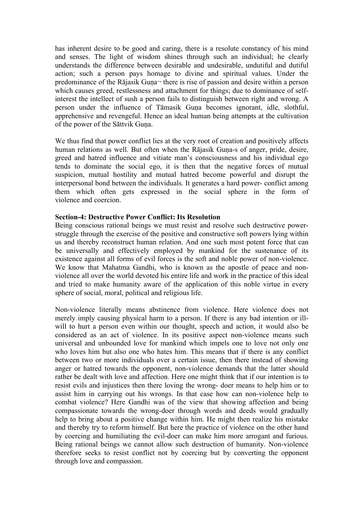has inherent desire to be good and caring, there is a resolute constancy of his mind and senses. The light of wisdom shines through such an individual; he clearly understands the difference between desirable and undesirable, undutiful and dutiful action; such a person pays homage to divine and spiritual values. Under the predominance of the Rājasik Guṇa¬ there is rise of passion and desire within a person which causes greed, restlessness and attachment for things; due to dominance of selfinterest the intellect of sush a person fails to distinguish between right and wrong. A person under the influence of Tāmasik Guna becomes ignorant, idle, slothful, apprehensive and revengeful. Hence an ideal human being attempts at the cultivation of the power of the Sāttvik Guṇa.

We thus find that power conflict lies at the very root of creation and positively affects human relations as well. But often when the Rājasik Guṇa-s of anger, pride, desire, greed and hatred influence and vitiate man's consciousness and his individual ego tends to dominate the social ego, it is then that the negative forces of mutual suspicion, mutual hostility and mutual hatred become powerful and disrupt the interpersonal bond between the individuals. It generates a hard power- conflict among them which often gets expressed in the social sphere in the form of violence and coercion.

### **Section-4: Destructive Power Conflict: Its Resolution**

Being conscious rational beings we must resist and resolve such destructive powerstruggle through the exercise of the positive and constructive soft powers lying within us and thereby reconstruct human relation. And one such most potent force that can be universally and effectively employed by mankind for the sustenance of its existence against all forms of evil forces is the soft and noble power of non-violence. We know that Mahatma Gandhi, who is known as the apostle of peace and nonviolence all over the world devoted his entire life and work in the practice of this ideal and tried to make humanity aware of the application of this noble virtue in every sphere of social, moral, political and religious life.

Non-violence literally means abstinence from violence. Here violence does not merely imply causing physical harm to a person. If there is any bad intention or illwill to hurt a person even within our thought, speech and action, it would also be considered as an act of violence. In its positive aspect non-violence means such universal and unbounded love for mankind which impels one to love not only one who loves him but also one who hates him. This means that if there is any conflict between two or more individuals over a certain issue, then there instead of showing anger or hatred towards the opponent, non-violence demands that the latter should rather be dealt with love and affection. Here one might think that if our intention is to resist evils and injustices then there loving the wrong- doer means to help him or to assist him in carrying out his wrongs. In that case how can non-violence help to combat violence? Here Gandhi was of the view that showing affection and being compassionate towards the wrong-doer through words and deeds would gradually help to bring about a positive change within him. He might then realize his mistake and thereby try to reform himself. But here the practice of violence on the other hand by coercing and humiliating the evil-doer can make him more arrogant and furious. Being rational beings we cannot allow such destruction of humanity. Non-violence therefore seeks to resist conflict not by coercing but by converting the opponent through love and compassion.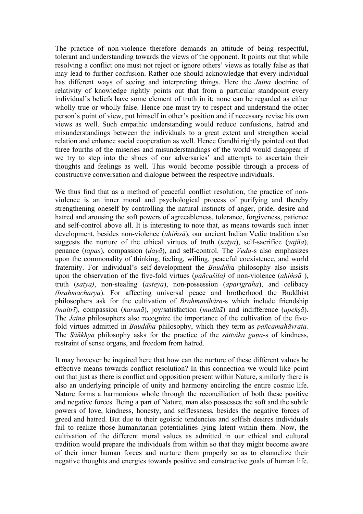The practice of non-violence therefore demands an attitude of being respectful, tolerant and understanding towards the views of the opponent. It points out that while resolving a conflict one must not reject or ignore others' views as totally false as that may lead to further confusion. Rather one should acknowledge that every individual has different ways of seeing and interpreting things. Here the *Jaina* doctrine of relativity of knowledge rightly points out that from a particular standpoint every individual's beliefs have some element of truth in it; none can be regarded as either wholly true or wholly false. Hence one must try to respect and understand the other person's point of view, put himself in other's position and if necessary revise his own views as well. Such empathic understanding would reduce confusions, hatred and misunderstandings between the individuals to a great extent and strengthen social relation and enhance social cooperation as well. Hence Gandhi rightly pointed out that three fourths of the miseries and misunderstandings of the world would disappear if we try to step into the shoes of our adversaries' and attempts to ascertain their thoughts and feelings as well. This would become possible through a process of constructive conversation and dialogue between the respective individuals.

We thus find that as a method of peaceful conflict resolution, the practice of nonviolence is an inner moral and psychological process of purifying and thereby strengthening oneself by controlling the natural instincts of anger, pride, desire and hatred and arousing the soft powers of agreeableness, tolerance, forgiveness, patience and self-control above all. It is interesting to note that, as means towards such inner development, besides non-violence (*ahiṁsā*), our ancient Indian Vedic tradition also suggests the nurture of the ethical virtues of truth (*satya*), self-sacrifice (*yajña*), penance (*tapas*), compassion (*dayā*), and self-control. The *Veda-*s also emphasizes upon the commonality of thinking, feeling, willing, peaceful coexistence, and world fraternity. For individual's self-development the *Bauddh*a philosophy also insists upon the observation of the five-fold virtues (*pañcaśila)* of non-violence (*ahiṁsā* ), truth (*satya)*, non-stealing (*asteya*), non-possession (*aparigraha*), and celibacy *(brahmacharya*). For affecting universal peace and brotherhood the Buddhist philosophers ask for the cultivation of *Brahmavihāra*-s which include friendship *(maitrī*), compassion (*karunā*), joy/satisfaction (*muditā*) and indifference (*upekṣā*). The *Jaina* philosophers also recognize the importance of the cultivation of the fivefold virtues admitted in *Bauddha* philosophy, which they term as *pañcamahāvrata.* The *Sāñkhya* philosophy asks for the practice of the *sāttvika guṇa*-s of kindness, restraint of sense organs, and freedom from hatred.

It may however be inquired here that how can the nurture of these different values be effective means towards conflict resolution? In this connection we would like point out that just as there is conflict and opposition present within Nature, similarly there is also an underlying principle of unity and harmony encircling the entire cosmic life. Nature forms a harmonious whole through the reconciliation of both these positive and negative forces. Being a part of Nature, man also possesses the soft and the subtle powers of love, kindness, honesty, and selflessness, besides the negative forces of greed and hatred. But due to their egoistic tendencies and selfish desires individuals fail to realize those humanitarian potentialities lying latent within them. Now, the cultivation of the different moral values as admitted in our ethical and cultural tradition would prepare the individuals from within so that they might become aware of their inner human forces and nurture them properly so as to channelize their negative thoughts and energies towards positive and constructive goals of human life.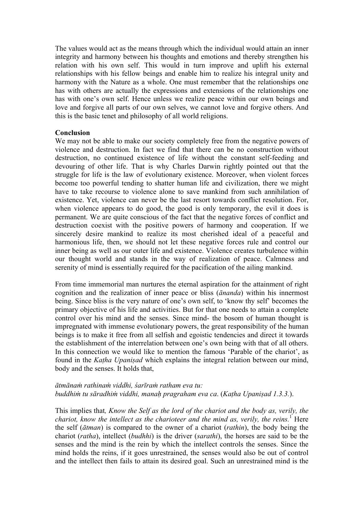The values would act as the means through which the individual would attain an inner integrity and harmony between his thoughts and emotions and thereby strengthen his relation with his own self. This would in turn improve and uplift his external relationships with his fellow beings and enable him to realize his integral unity and harmony with the Nature as a whole. One must remember that the relationships one has with others are actually the expressions and extensions of the relationships one has with one's own self. Hence unless we realize peace within our own beings and love and forgive all parts of our own selves, we cannot love and forgive others. And this is the basic tenet and philosophy of all world religions.

#### **Conclusion**

We may not be able to make our society completely free from the negative powers of violence and destruction. In fact we find that there can be no construction without destruction, no continued existence of life without the constant self-feeding and devouring of other life. That is why Charles Darwin rightly pointed out that the struggle for life is the law of evolutionary existence. Moreover, when violent forces become too powerful tending to shatter human life and civilization, there we might have to take recourse to violence alone to save mankind from such annihilation of existence. Yet, violence can never be the last resort towards conflict resolution. For, when violence appears to do good, the good is only temporary, the evil it does is permanent. We are quite conscious of the fact that the negative forces of conflict and destruction coexist with the positive powers of harmony and cooperation. If we sincerely desire mankind to realize its most cherished ideal of a peaceful and harmonious life, then, we should not let these negative forces rule and control our inner being as well as our outer life and existence. Violence creates turbulence within our thought world and stands in the way of realization of peace. Calmness and serenity of mind is essentially required for the pacification of the ailing mankind.

From time immemorial man nurtures the eternal aspiration for the attainment of right cognition and the realization of inner peace or bliss (*ānanda*) within his innermost being. Since bliss is the very nature of one's own self, to 'know thy self' becomes the primary objective of his life and activities. But for that one needs to attain a complete control over his mind and the senses. Since mind- the bosom of human thought is impregnated with immense evolutionary powers, the great responsibility of the human beings is to make it free from all selfish and egoistic tendencies and direct it towards the establishment of the interrelation between one's own being with that of all others. In this connection we would like to mention the famous 'Parable of the chariot', as found in the *Kaṭha Upaniṣad* which explains the integral relation between our mind, body and the senses. It holds that,

## *ātmānaṁ rathinaṁ viddhi, śarīraṁ ratham eva tu: buddhiṁ tu sāradhiṁ viddhi, manaḥ pragraham eva ca*. (*Kaṭha Upaniṣad 1.3.3.*).

This implies that*, Know the Self as the lord of the chariot and the body as, verily, the chariot, know the intellect as the charioteer and the mind as, verily, the reins.*<sup>1</sup> Here the self (*ātman*) is compared to the owner of a chariot (*rathin*), the body being the chariot (*ratha*), intellect (*budhhi*) is the driver (*sarathi*), the horses are said to be the senses and the mind is the rein by which the intellect controls the senses. Since the mind holds the reins, if it goes unrestrained, the senses would also be out of control and the intellect then fails to attain its desired goal. Such an unrestrained mind is the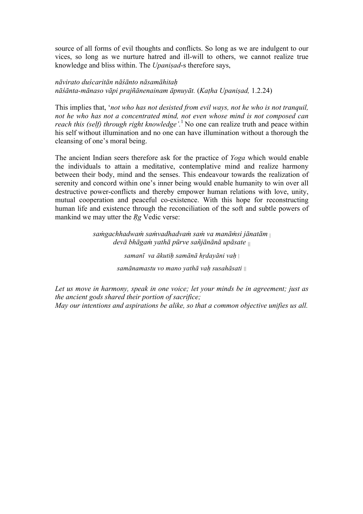source of all forms of evil thoughts and conflicts. So long as we are indulgent to our vices, so long as we nurture hatred and ill-will to others, we cannot realize true knowledge and bliss within. The *Upaniṣad*-s therefore says,

*nāvirato duścaritān nāśānto nāsamāhitaḥ nāśānta-mānaso vāpi prajñānenainam āpnuyāt.* (*Kaṭha Upaniṣad,* 1.2.24)

This implies that, '*not who has not desisted from evil ways, not he who is not tranquil, not he who has not a concentrated mind, not even whose mind is not composed can reach this (self) through right knowledge'.* <sup>1</sup> No one can realize truth and peace within his self without illumination and no one can have illumination without a thorough the cleansing of one's moral being.

The ancient Indian seers therefore ask for the practice of *Yoga* which would enable the individuals to attain a meditative, contemplative mind and realize harmony between their body, mind and the senses. This endeavour towards the realization of serenity and concord within one's inner being would enable humanity to win over all destructive power-conflicts and thereby empower human relations with love, unity, mutual cooperation and peaceful co-existence. With this hope for reconstructing human life and existence through the reconciliation of the soft and subtle powers of mankind we may utter the *Rg* Vedic verse:

> *saṁgachhadwaṁ saṁvadhadvaṁ saṁ va manāṁsi jānatām* <sup>|</sup> *devā bhāgaṁ yathā pūrve sañjānānā upāsate ||*

> > *samanī va ākutiḥ samānā hṛdayāni vaḥ* | *samānamastu vo mano yathā vaḥ susahāsati ||*

*Let us move in harmony, speak in one voice; let your minds be in agreement; just as the ancient gods shared their portion of sacrifice;*

*May our intentions and aspirations be alike, so that a common objective unifies us all.*